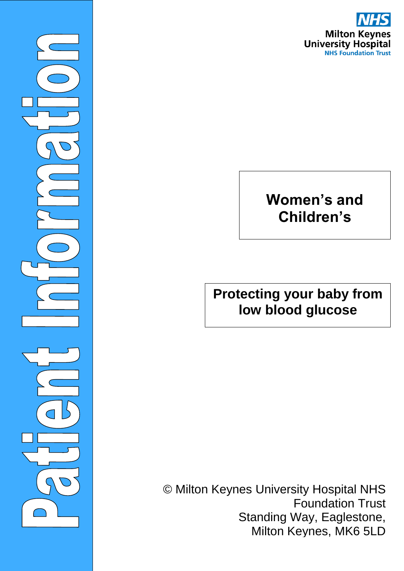

# **Women's and Children's**

©Milto

 $\overline{\phantom{0}}$ 

## **Protecting your baby from low blood glucose**

© Milton Keynes University Hospital NHS Foundation Trust Standing Way, Eaglestone, Milton Keynes, MK6 5LD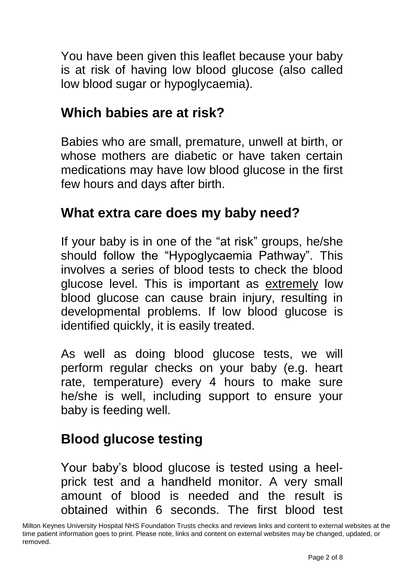You have been given this leaflet because your baby is at risk of having low blood glucose (also called low blood sugar or hypoglycaemia).

#### **Which babies are at risk?**

Babies who are small, premature, unwell at birth, or whose mothers are diabetic or have taken certain medications may have low blood glucose in the first few hours and days after birth.

#### **What extra care does my baby need?**

If your baby is in one of the "at risk" groups, he/she should follow the "Hypoglycaemia Pathway". This involves a series of blood tests to check the blood glucose level. This is important as extremely low blood glucose can cause brain injury, resulting in developmental problems. If low blood glucose is identified quickly, it is easily treated.

As well as doing blood glucose tests, we will perform regular checks on your baby (e.g. heart rate, temperature) every 4 hours to make sure he/she is well, including support to ensure your baby is feeding well.

#### **Blood glucose testing**

Your baby's blood glucose is tested using a heelprick test and a handheld monitor. A very small amount of blood is needed and the result is obtained within 6 seconds. The first blood test

Milton Keynes University Hospital NHS Foundation Trusts checks and reviews links and content to external websites at the time patient information goes to print. Please note, links and content on external websites may be changed, updated, or removed.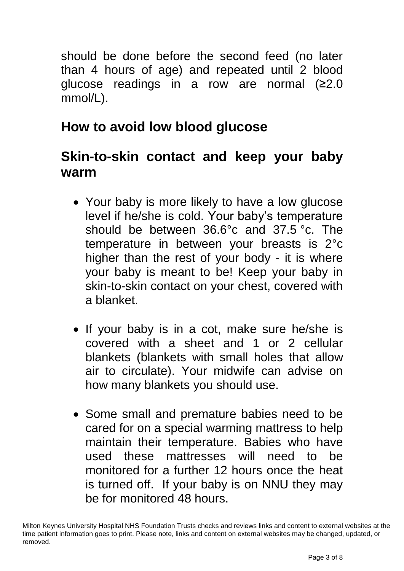should be done before the second feed (no later than 4 hours of age) and repeated until 2 blood glucose readings in a row are normal (≥2.0 mmol/L).

# **How to avoid low blood glucose**

#### **Skin-to-skin contact and keep your baby warm**

- Your baby is more likely to have a low glucose level if he/she is cold. Your baby's temperature should be between 36.6°c and 37.5 °c. The temperature in between your breasts is 2°c higher than the rest of your body - it is where your baby is meant to be! Keep your baby in skin-to-skin contact on your chest, covered with a blanket.
- If your baby is in a cot, make sure he/she is covered with a sheet and 1 or 2 cellular blankets (blankets with small holes that allow air to circulate). Your midwife can advise on how many blankets you should use.
- Some small and premature babies need to be cared for on a special warming mattress to help maintain their temperature. Babies who have used these mattresses will need to be monitored for a further 12 hours once the heat is turned off. If your baby is on NNU they may be for monitored 48 hours.

Milton Keynes University Hospital NHS Foundation Trusts checks and reviews links and content to external websites at the time patient information goes to print. Please note, links and content on external websites may be changed, updated, or removed.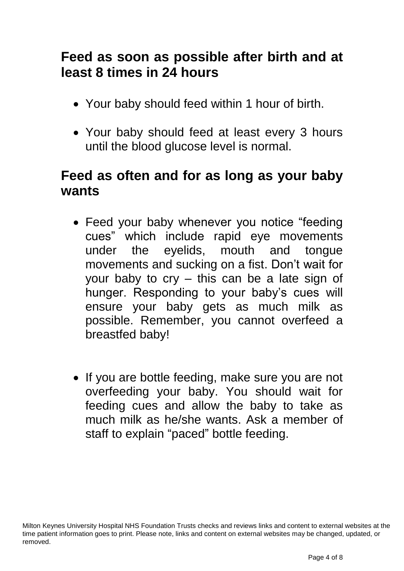## **Feed as soon as possible after birth and at least 8 times in 24 hours**

- Your baby should feed within 1 hour of birth.
- Your baby should feed at least every 3 hours until the blood glucose level is normal.

#### **Feed as often and for as long as your baby wants**

- Feed your baby whenever you notice "feeding cues" which include rapid eye movements under the eyelids, mouth and tongue movements and sucking on a fist. Don't wait for your baby to cry – this can be a late sign of hunger. Responding to your baby's cues will ensure your baby gets as much milk as possible. Remember, you cannot overfeed a breastfed baby!
- If you are bottle feeding, make sure you are not overfeeding your baby. You should wait for feeding cues and allow the baby to take as much milk as he/she wants. Ask a member of staff to explain "paced" bottle feeding.

Milton Keynes University Hospital NHS Foundation Trusts checks and reviews links and content to external websites at the time patient information goes to print. Please note, links and content on external websites may be changed, updated, or removed.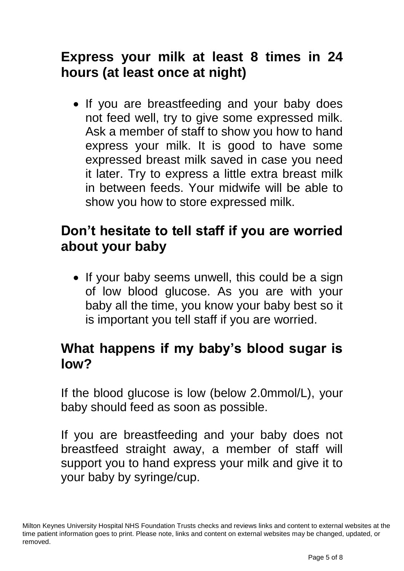# **Express your milk at least 8 times in 24 hours (at least once at night)**

• If you are breastfeeding and your baby does not feed well, try to give some expressed milk. Ask a member of staff to show you how to hand express your milk. It is good to have some expressed breast milk saved in case you need it later. Try to express a little extra breast milk in between feeds. Your midwife will be able to show you how to store expressed milk.

#### **Don't hesitate to tell staff if you are worried about your baby**

• If your baby seems unwell, this could be a sign of low blood glucose. As you are with your baby all the time, you know your baby best so it is important you tell staff if you are worried.

## **What happens if my baby's blood sugar is low?**

If the blood glucose is low (below 2.0mmol/L), your baby should feed as soon as possible.

If you are breastfeeding and your baby does not breastfeed straight away, a member of staff will support you to hand express your milk and give it to your baby by syringe/cup.

Milton Keynes University Hospital NHS Foundation Trusts checks and reviews links and content to external websites at the time patient information goes to print. Please note, links and content on external websites may be changed, updated, or removed.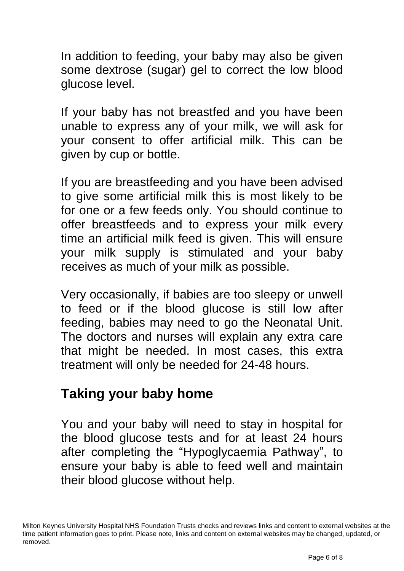In addition to feeding, your baby may also be given some dextrose (sugar) gel to correct the low blood glucose level.

If your baby has not breastfed and you have been unable to express any of your milk, we will ask for your consent to offer artificial milk. This can be given by cup or bottle.

If you are breastfeeding and you have been advised to give some artificial milk this is most likely to be for one or a few feeds only. You should continue to offer breastfeeds and to express your milk every time an artificial milk feed is given. This will ensure your milk supply is stimulated and your baby receives as much of your milk as possible.

Very occasionally, if babies are too sleepy or unwell to feed or if the blood glucose is still low after feeding, babies may need to go the Neonatal Unit. The doctors and nurses will explain any extra care that might be needed. In most cases, this extra treatment will only be needed for 24-48 hours.

#### **Taking your baby home**

You and your baby will need to stay in hospital for the blood glucose tests and for at least 24 hours after completing the "Hypoglycaemia Pathway", to ensure your baby is able to feed well and maintain their blood glucose without help.

Milton Keynes University Hospital NHS Foundation Trusts checks and reviews links and content to external websites at the time patient information goes to print. Please note, links and content on external websites may be changed, updated, or removed.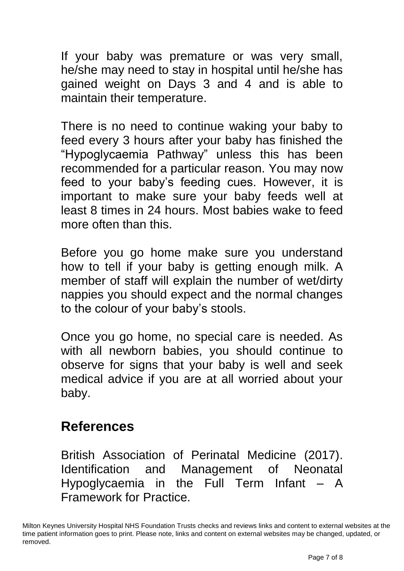If your baby was premature or was very small, he/she may need to stay in hospital until he/she has gained weight on Days 3 and 4 and is able to maintain their temperature.

There is no need to continue waking your baby to feed every 3 hours after your baby has finished the "Hypoglycaemia Pathway" unless this has been recommended for a particular reason. You may now feed to your baby's feeding cues. However, it is important to make sure your baby feeds well at least 8 times in 24 hours. Most babies wake to feed more often than this.

Before you go home make sure you understand how to tell if your baby is getting enough milk. A member of staff will explain the number of wet/dirty nappies you should expect and the normal changes to the colour of your baby's stools.

Once you go home, no special care is needed. As with all newborn babies, you should continue to observe for signs that your baby is well and seek medical advice if you are at all worried about your baby.

#### **References**

British Association of Perinatal Medicine (2017). Identification and Management of Neonatal Hypoglycaemia in the Full Term Infant – A Framework for Practice.

Milton Keynes University Hospital NHS Foundation Trusts checks and reviews links and content to external websites at the time patient information goes to print. Please note, links and content on external websites may be changed, updated, or removed.